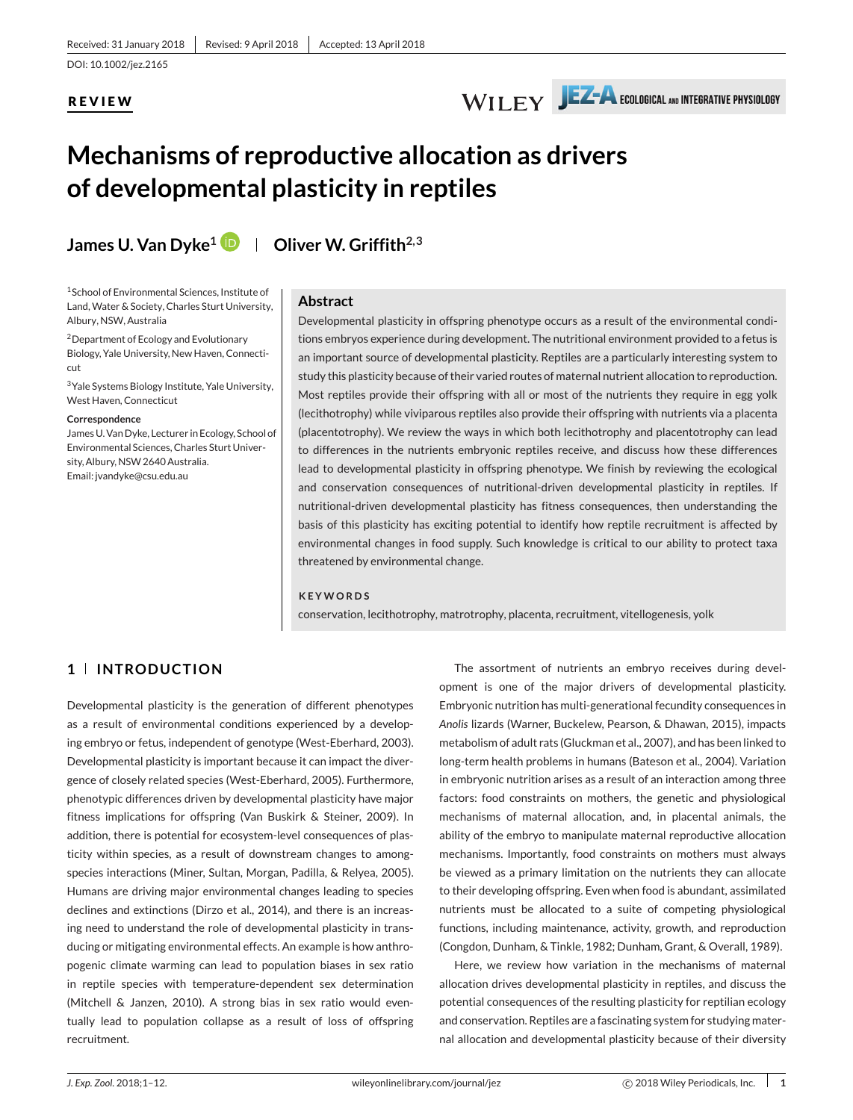DOI: 10.1002/jez.2165

# **REVIEW**



# **Mechanisms of reproductive allocation as drivers of developmental plasticity in reptiles**

**James U. Van Dyke<sup>1</sup> <b>D** | Oliver W. Griffith<sup>2,3</sup>

1School of Environmental Sciences, Institute of Land, Water & Society, Charles Sturt University, Albury, NSW, Australia

2Department of Ecology and Evolutionary Biology, Yale University, New Haven, Connecticut

3Yale Systems Biology Institute, Yale University, West Haven, Connecticut

#### **Correspondence**

James U. Van Dyke, Lecturer in Ecology, School of Environmental Sciences, Charles Sturt University, Albury, NSW 2640 Australia. Email: jvandyke@csu.edu.au

#### **Abstract**

Developmental plasticity in offspring phenotype occurs as a result of the environmental conditions embryos experience during development. The nutritional environment provided to a fetus is an important source of developmental plasticity. Reptiles are a particularly interesting system to study this plasticity because of their varied routes of maternal nutrient allocation to reproduction. Most reptiles provide their offspring with all or most of the nutrients they require in egg yolk (lecithotrophy) while viviparous reptiles also provide their offspring with nutrients via a placenta (placentotrophy). We review the ways in which both lecithotrophy and placentotrophy can lead to differences in the nutrients embryonic reptiles receive, and discuss how these differences lead to developmental plasticity in offspring phenotype. We finish by reviewing the ecological and conservation consequences of nutritional-driven developmental plasticity in reptiles. If nutritional-driven developmental plasticity has fitness consequences, then understanding the basis of this plasticity has exciting potential to identify how reptile recruitment is affected by environmental changes in food supply. Such knowledge is critical to our ability to protect taxa threatened by environmental change.

### **KEYWORDS**

conservation, lecithotrophy, matrotrophy, placenta, recruitment, vitellogenesis, yolk

# **1 INTRODUCTION**

Developmental plasticity is the generation of different phenotypes as a result of environmental conditions experienced by a developing embryo or fetus, independent of genotype (West-Eberhard, 2003). Developmental plasticity is important because it can impact the divergence of closely related species (West-Eberhard, 2005). Furthermore, phenotypic differences driven by developmental plasticity have major fitness implications for offspring (Van Buskirk & Steiner, 2009). In addition, there is potential for ecosystem-level consequences of plasticity within species, as a result of downstream changes to amongspecies interactions (Miner, Sultan, Morgan, Padilla, & Relyea, 2005). Humans are driving major environmental changes leading to species declines and extinctions (Dirzo et al., 2014), and there is an increasing need to understand the role of developmental plasticity in transducing or mitigating environmental effects. An example is how anthropogenic climate warming can lead to population biases in sex ratio in reptile species with temperature-dependent sex determination (Mitchell & Janzen, 2010). A strong bias in sex ratio would eventually lead to population collapse as a result of loss of offspring recruitment.

The assortment of nutrients an embryo receives during development is one of the major drivers of developmental plasticity. Embryonic nutrition has multi-generational fecundity consequences in *Anolis* lizards (Warner, Buckelew, Pearson, & Dhawan, 2015), impacts metabolism of adult rats (Gluckman et al., 2007), and has been linked to long-term health problems in humans (Bateson et al., 2004). Variation in embryonic nutrition arises as a result of an interaction among three factors: food constraints on mothers, the genetic and physiological mechanisms of maternal allocation, and, in placental animals, the ability of the embryo to manipulate maternal reproductive allocation mechanisms. Importantly, food constraints on mothers must always be viewed as a primary limitation on the nutrients they can allocate to their developing offspring. Even when food is abundant, assimilated nutrients must be allocated to a suite of competing physiological functions, including maintenance, activity, growth, and reproduction (Congdon, Dunham, & Tinkle, 1982; Dunham, Grant, & Overall, 1989).

Here, we review how variation in the mechanisms of maternal allocation drives developmental plasticity in reptiles, and discuss the potential consequences of the resulting plasticity for reptilian ecology and conservation. Reptiles are a fascinating system for studying maternal allocation and developmental plasticity because of their diversity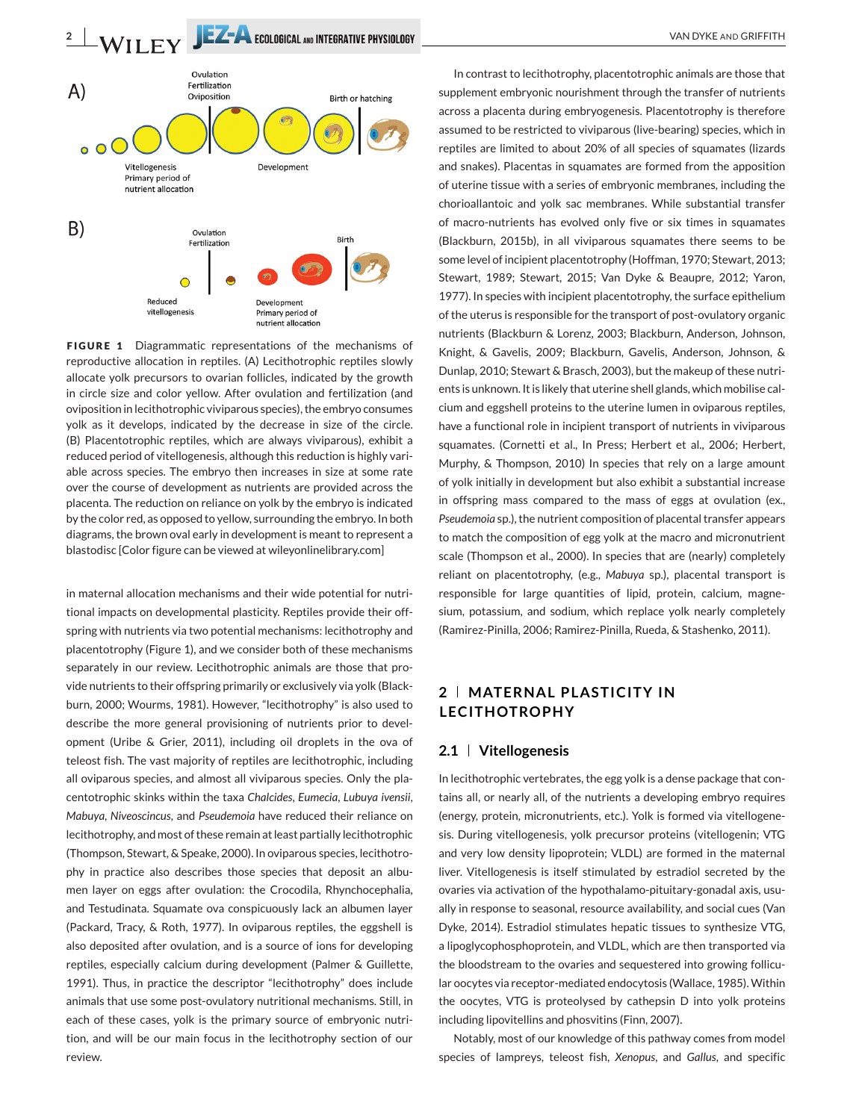**2** VAN DYKE AND GRIFFITH



**FIGURE 1** Diagrammatic representations of the mechanisms of reproductive allocation in reptiles. (A) Lecithotrophic reptiles slowly allocate yolk precursors to ovarian follicles, indicated by the growth in circle size and color yellow. After ovulation and fertilization (and oviposition in lecithotrophic viviparous species), the embryo consumes yolk as it develops, indicated by the decrease in size of the circle. (B) Placentotrophic reptiles, which are always viviparous), exhibit a reduced period of vitellogenesis, although this reduction is highly variable across species. The embryo then increases in size at some rate over the course of development as nutrients are provided across the placenta. The reduction on reliance on yolk by the embryo is indicated by the color red, as opposed to yellow, surrounding the embryo. In both diagrams, the brown oval early in development is meant to represent a blastodisc [Color figure can be viewed at wileyonlinelibrary.com]

in maternal allocation mechanisms and their wide potential for nutritional impacts on developmental plasticity. Reptiles provide their offspring with nutrients via two potential mechanisms: lecithotrophy and placentotrophy (Figure 1), and we consider both of these mechanisms separately in our review. Lecithotrophic animals are those that provide nutrients to their offspring primarily or exclusively via yolk (Blackburn, 2000; Wourms, 1981). However, "lecithotrophy" is also used to describe the more general provisioning of nutrients prior to development (Uribe & Grier, 2011), including oil droplets in the ova of teleost fish. The vast majority of reptiles are lecithotrophic, including all oviparous species, and almost all viviparous species. Only the placentotrophic skinks within the taxa *Chalcides*, *Eumecia*, *Lubuya ivensii*, *Mabuya*, *Niveoscincus*, and *Pseudemoia* have reduced their reliance on lecithotrophy, and most of these remain at least partially lecithotrophic (Thompson, Stewart, & Speake, 2000). In oviparous species, lecithotrophy in practice also describes those species that deposit an albumen layer on eggs after ovulation: the Crocodila, Rhynchocephalia, and Testudinata. Squamate ova conspicuously lack an albumen layer (Packard, Tracy, & Roth, 1977). In oviparous reptiles, the eggshell is also deposited after ovulation, and is a source of ions for developing reptiles, especially calcium during development (Palmer & Guillette, 1991). Thus, in practice the descriptor "lecithotrophy" does include animals that use some post-ovulatory nutritional mechanisms. Still, in each of these cases, yolk is the primary source of embryonic nutrition, and will be our main focus in the lecithotrophy section of our review.

In contrast to lecithotrophy, placentotrophic animals are those that supplement embryonic nourishment through the transfer of nutrients across a placenta during embryogenesis. Placentotrophy is therefore assumed to be restricted to viviparous (live-bearing) species, which in reptiles are limited to about 20% of all species of squamates (lizards and snakes). Placentas in squamates are formed from the apposition of uterine tissue with a series of embryonic membranes, including the chorioallantoic and yolk sac membranes. While substantial transfer of macro-nutrients has evolved only five or six times in squamates (Blackburn, 2015b), in all viviparous squamates there seems to be some level of incipient placentotrophy (Hoffman, 1970; Stewart, 2013; Stewart, 1989; Stewart, 2015; Van Dyke & Beaupre, 2012; Yaron, 1977). In species with incipient placentotrophy, the surface epithelium of the uterus is responsible for the transport of post-ovulatory organic nutrients (Blackburn & Lorenz, 2003; Blackburn, Anderson, Johnson, Knight, & Gavelis, 2009; Blackburn, Gavelis, Anderson, Johnson, & Dunlap, 2010; Stewart & Brasch, 2003), but the makeup of these nutrients is unknown. It is likely that uterine shell glands, which mobilise calcium and eggshell proteins to the uterine lumen in oviparous reptiles, have a functional role in incipient transport of nutrients in viviparous squamates. (Cornetti et al., In Press; Herbert et al., 2006; Herbert, Murphy, & Thompson, 2010) In species that rely on a large amount of yolk initially in development but also exhibit a substantial increase in offspring mass compared to the mass of eggs at ovulation (ex., *Pseudemoia* sp.), the nutrient composition of placental transfer appears to match the composition of egg yolk at the macro and micronutrient scale (Thompson et al., 2000). In species that are (nearly) completely reliant on placentotrophy, (e.g., *Mabuya* sp.), placental transport is responsible for large quantities of lipid, protein, calcium, magnesium, potassium, and sodium, which replace yolk nearly completely (Ramirez-Pinilla, 2006; Ramirez-Pinilla, Rueda, & Stashenko, 2011).

# **2 MATERNAL PLASTICITY IN LECITHOTROPHY**

### **2.1 Vitellogenesis**

In lecithotrophic vertebrates, the egg yolk is a dense package that contains all, or nearly all, of the nutrients a developing embryo requires (energy, protein, micronutrients, etc.). Yolk is formed via vitellogenesis. During vitellogenesis, yolk precursor proteins (vitellogenin; VTG and very low density lipoprotein; VLDL) are formed in the maternal liver. Vitellogenesis is itself stimulated by estradiol secreted by the ovaries via activation of the hypothalamo-pituitary-gonadal axis, usually in response to seasonal, resource availability, and social cues (Van Dyke, 2014). Estradiol stimulates hepatic tissues to synthesize VTG, a lipoglycophosphoprotein, and VLDL, which are then transported via the bloodstream to the ovaries and sequestered into growing follicular oocytes via receptor-mediated endocytosis (Wallace, 1985). Within the oocytes, VTG is proteolysed by cathepsin D into yolk proteins including lipovitellins and phosvitins (Finn, 2007).

Notably, most of our knowledge of this pathway comes from model species of lampreys, teleost fish, *Xenopus*, and *Gallus*, and specific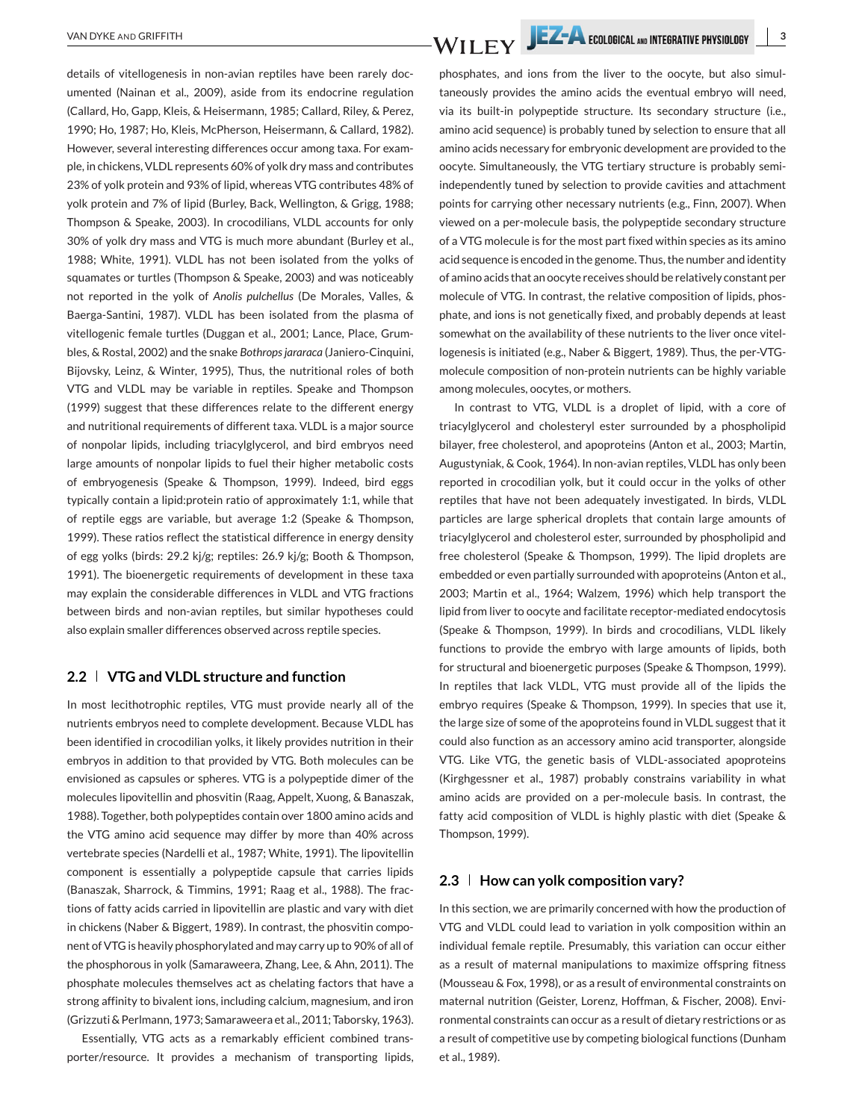details of vitellogenesis in non-avian reptiles have been rarely documented (Nainan et al., 2009), aside from its endocrine regulation (Callard, Ho, Gapp, Kleis, & Heisermann, 1985; Callard, Riley, & Perez, 1990; Ho, 1987; Ho, Kleis, McPherson, Heisermann, & Callard, 1982). However, several interesting differences occur among taxa. For example, in chickens, VLDL represents 60% of yolk dry mass and contributes 23% of yolk protein and 93% of lipid, whereas VTG contributes 48% of yolk protein and 7% of lipid (Burley, Back, Wellington, & Grigg, 1988; Thompson & Speake, 2003). In crocodilians, VLDL accounts for only 30% of yolk dry mass and VTG is much more abundant (Burley et al., 1988; White, 1991). VLDL has not been isolated from the yolks of squamates or turtles (Thompson & Speake, 2003) and was noticeably not reported in the yolk of *Anolis pulchellus* (De Morales, Valles, & Baerga-Santini, 1987). VLDL has been isolated from the plasma of vitellogenic female turtles (Duggan et al., 2001; Lance, Place, Grumbles, & Rostal, 2002) and the snake *Bothrops jararaca* (Janiero-Cinquini, Bijovsky, Leinz, & Winter, 1995), Thus, the nutritional roles of both VTG and VLDL may be variable in reptiles. Speake and Thompson (1999) suggest that these differences relate to the different energy and nutritional requirements of different taxa. VLDL is a major source of nonpolar lipids, including triacylglycerol, and bird embryos need large amounts of nonpolar lipids to fuel their higher metabolic costs of embryogenesis (Speake & Thompson, 1999). Indeed, bird eggs typically contain a lipid:protein ratio of approximately 1:1, while that of reptile eggs are variable, but average 1:2 (Speake & Thompson, 1999). These ratios reflect the statistical difference in energy density of egg yolks (birds: 29.2 kj/g; reptiles: 26.9 kj/g; Booth & Thompson, 1991). The bioenergetic requirements of development in these taxa may explain the considerable differences in VLDL and VTG fractions between birds and non-avian reptiles, but similar hypotheses could also explain smaller differences observed across reptile species.

## **2.2 VTG and VLDL structure and function**

In most lecithotrophic reptiles, VTG must provide nearly all of the nutrients embryos need to complete development. Because VLDL has been identified in crocodilian yolks, it likely provides nutrition in their embryos in addition to that provided by VTG. Both molecules can be envisioned as capsules or spheres. VTG is a polypeptide dimer of the molecules lipovitellin and phosvitin (Raag, Appelt, Xuong, & Banaszak, 1988). Together, both polypeptides contain over 1800 amino acids and the VTG amino acid sequence may differ by more than 40% across vertebrate species (Nardelli et al., 1987; White, 1991). The lipovitellin component is essentially a polypeptide capsule that carries lipids (Banaszak, Sharrock, & Timmins, 1991; Raag et al., 1988). The fractions of fatty acids carried in lipovitellin are plastic and vary with diet in chickens (Naber & Biggert, 1989). In contrast, the phosvitin component of VTG is heavily phosphorylated and may carry up to 90% of all of the phosphorous in yolk (Samaraweera, Zhang, Lee, & Ahn, 2011). The phosphate molecules themselves act as chelating factors that have a strong affinity to bivalent ions, including calcium, magnesium, and iron (Grizzuti & Perlmann, 1973; Samaraweera et al., 2011; Taborsky, 1963).

Essentially, VTG acts as a remarkably efficient combined transporter/resource. It provides a mechanism of transporting lipids,

phosphates, and ions from the liver to the oocyte, but also simultaneously provides the amino acids the eventual embryo will need, via its built-in polypeptide structure. Its secondary structure (i.e., amino acid sequence) is probably tuned by selection to ensure that all amino acids necessary for embryonic development are provided to the oocyte. Simultaneously, the VTG tertiary structure is probably semiindependently tuned by selection to provide cavities and attachment points for carrying other necessary nutrients (e.g., Finn, 2007). When viewed on a per-molecule basis, the polypeptide secondary structure of a VTG molecule is for the most part fixed within species as its amino acid sequence is encoded in the genome. Thus, the number and identity of amino acids that an oocyte receives should be relatively constant per molecule of VTG. In contrast, the relative composition of lipids, phosphate, and ions is not genetically fixed, and probably depends at least somewhat on the availability of these nutrients to the liver once vitellogenesis is initiated (e.g., Naber & Biggert, 1989). Thus, the per-VTGmolecule composition of non-protein nutrients can be highly variable among molecules, oocytes, or mothers.

In contrast to VTG, VLDL is a droplet of lipid, with a core of triacylglycerol and cholesteryl ester surrounded by a phospholipid bilayer, free cholesterol, and apoproteins (Anton et al., 2003; Martin, Augustyniak, & Cook, 1964). In non-avian reptiles, VLDL has only been reported in crocodilian yolk, but it could occur in the yolks of other reptiles that have not been adequately investigated. In birds, VLDL particles are large spherical droplets that contain large amounts of triacylglycerol and cholesterol ester, surrounded by phospholipid and free cholesterol (Speake & Thompson, 1999). The lipid droplets are embedded or even partially surrounded with apoproteins (Anton et al., 2003; Martin et al., 1964; Walzem, 1996) which help transport the lipid from liver to oocyte and facilitate receptor-mediated endocytosis (Speake & Thompson, 1999). In birds and crocodilians, VLDL likely functions to provide the embryo with large amounts of lipids, both for structural and bioenergetic purposes (Speake & Thompson, 1999). In reptiles that lack VLDL, VTG must provide all of the lipids the embryo requires (Speake & Thompson, 1999). In species that use it, the large size of some of the apoproteins found in VLDL suggest that it could also function as an accessory amino acid transporter, alongside VTG. Like VTG, the genetic basis of VLDL-associated apoproteins (Kirghgessner et al., 1987) probably constrains variability in what amino acids are provided on a per-molecule basis. In contrast, the fatty acid composition of VLDL is highly plastic with diet (Speake & Thompson, 1999).

### **2.3 How can yolk composition vary?**

In this section, we are primarily concerned with how the production of VTG and VLDL could lead to variation in yolk composition within an individual female reptile. Presumably, this variation can occur either as a result of maternal manipulations to maximize offspring fitness (Mousseau & Fox, 1998), or as a result of environmental constraints on maternal nutrition (Geister, Lorenz, Hoffman, & Fischer, 2008). Environmental constraints can occur as a result of dietary restrictions or as a result of competitive use by competing biological functions (Dunham et al., 1989).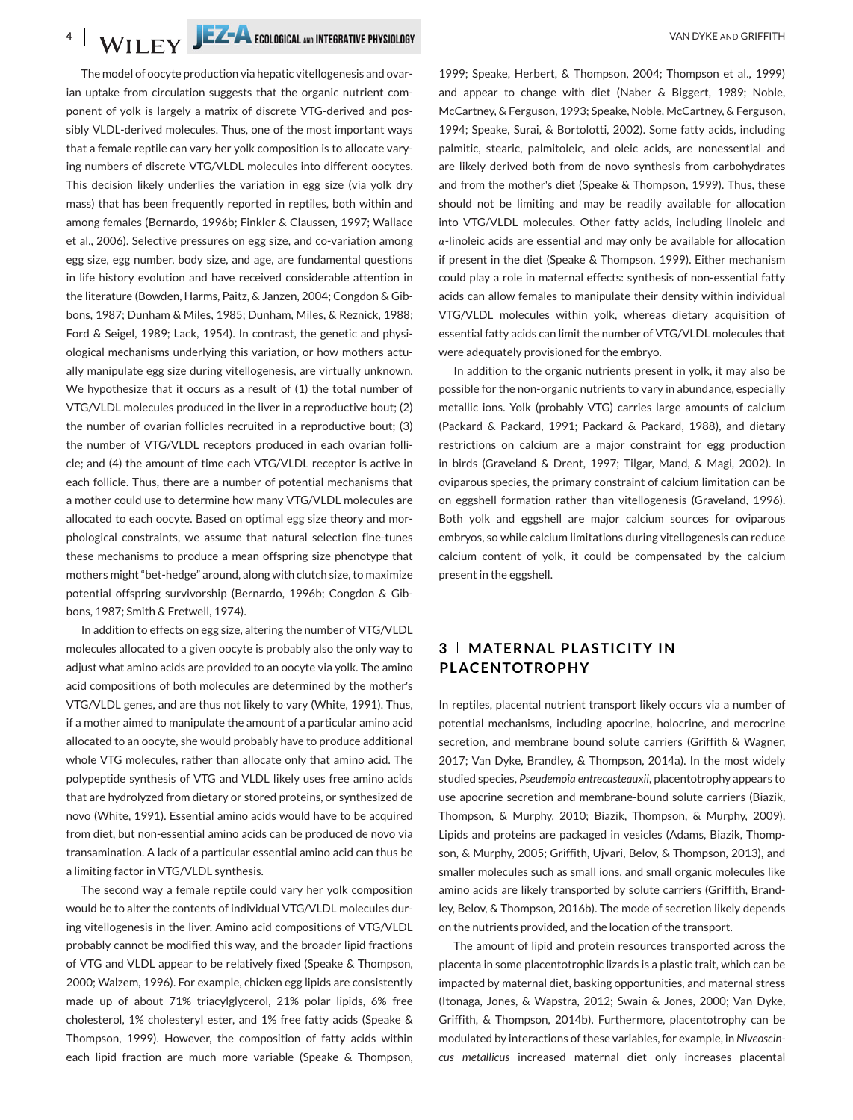**4** VAN DYKE AND GRIFFITH

The model of oocyte production via hepatic vitellogenesis and ovarian uptake from circulation suggests that the organic nutrient component of yolk is largely a matrix of discrete VTG-derived and possibly VLDL-derived molecules. Thus, one of the most important ways that a female reptile can vary her yolk composition is to allocate varying numbers of discrete VTG/VLDL molecules into different oocytes. This decision likely underlies the variation in egg size (via yolk dry mass) that has been frequently reported in reptiles, both within and among females (Bernardo, 1996b; Finkler & Claussen, 1997; Wallace et al., 2006). Selective pressures on egg size, and co-variation among egg size, egg number, body size, and age, are fundamental questions in life history evolution and have received considerable attention in the literature (Bowden, Harms, Paitz, & Janzen, 2004; Congdon & Gibbons, 1987; Dunham & Miles, 1985; Dunham, Miles, & Reznick, 1988; Ford & Seigel, 1989; Lack, 1954). In contrast, the genetic and physiological mechanisms underlying this variation, or how mothers actually manipulate egg size during vitellogenesis, are virtually unknown. We hypothesize that it occurs as a result of (1) the total number of VTG/VLDL molecules produced in the liver in a reproductive bout; (2) the number of ovarian follicles recruited in a reproductive bout; (3) the number of VTG/VLDL receptors produced in each ovarian follicle; and (4) the amount of time each VTG/VLDL receptor is active in each follicle. Thus, there are a number of potential mechanisms that a mother could use to determine how many VTG/VLDL molecules are allocated to each oocyte. Based on optimal egg size theory and morphological constraints, we assume that natural selection fine-tunes these mechanisms to produce a mean offspring size phenotype that mothers might "bet-hedge" around, along with clutch size, to maximize potential offspring survivorship (Bernardo, 1996b; Congdon & Gibbons, 1987; Smith & Fretwell, 1974).

In addition to effects on egg size, altering the number of VTG/VLDL molecules allocated to a given oocyte is probably also the only way to adjust what amino acids are provided to an oocyte via yolk. The amino acid compositions of both molecules are determined by the mother's VTG/VLDL genes, and are thus not likely to vary (White, 1991). Thus, if a mother aimed to manipulate the amount of a particular amino acid allocated to an oocyte, she would probably have to produce additional whole VTG molecules, rather than allocate only that amino acid. The polypeptide synthesis of VTG and VLDL likely uses free amino acids that are hydrolyzed from dietary or stored proteins, or synthesized de novo (White, 1991). Essential amino acids would have to be acquired from diet, but non-essential amino acids can be produced de novo via transamination. A lack of a particular essential amino acid can thus be a limiting factor in VTG/VLDL synthesis.

The second way a female reptile could vary her yolk composition would be to alter the contents of individual VTG/VLDL molecules during vitellogenesis in the liver. Amino acid compositions of VTG/VLDL probably cannot be modified this way, and the broader lipid fractions of VTG and VLDL appear to be relatively fixed (Speake & Thompson, 2000; Walzem, 1996). For example, chicken egg lipids are consistently made up of about 71% triacylglycerol, 21% polar lipids, 6% free cholesterol, 1% cholesteryl ester, and 1% free fatty acids (Speake & Thompson, 1999). However, the composition of fatty acids within each lipid fraction are much more variable (Speake & Thompson,

1999; Speake, Herbert, & Thompson, 2004; Thompson et al., 1999) and appear to change with diet (Naber & Biggert, 1989; Noble, McCartney, & Ferguson, 1993; Speake, Noble, McCartney, & Ferguson, 1994; Speake, Surai, & Bortolotti, 2002). Some fatty acids, including palmitic, stearic, palmitoleic, and oleic acids, are nonessential and are likely derived both from de novo synthesis from carbohydrates and from the mother's diet (Speake & Thompson, 1999). Thus, these should not be limiting and may be readily available for allocation into VTG/VLDL molecules. Other fatty acids, including linoleic and  $\alpha$ -linoleic acids are essential and may only be available for allocation if present in the diet (Speake & Thompson, 1999). Either mechanism could play a role in maternal effects: synthesis of non-essential fatty acids can allow females to manipulate their density within individual VTG/VLDL molecules within yolk, whereas dietary acquisition of essential fatty acids can limit the number of VTG/VLDL molecules that were adequately provisioned for the embryo.

In addition to the organic nutrients present in yolk, it may also be possible for the non-organic nutrients to vary in abundance, especially metallic ions. Yolk (probably VTG) carries large amounts of calcium (Packard & Packard, 1991; Packard & Packard, 1988), and dietary restrictions on calcium are a major constraint for egg production in birds (Graveland & Drent, 1997; Tilgar, Mand, & Magi, 2002). In oviparous species, the primary constraint of calcium limitation can be on eggshell formation rather than vitellogenesis (Graveland, 1996). Both yolk and eggshell are major calcium sources for oviparous embryos, so while calcium limitations during vitellogenesis can reduce calcium content of yolk, it could be compensated by the calcium present in the eggshell.

# **3 MATERNAL PLASTICITY IN PLACENTOTROPHY**

In reptiles, placental nutrient transport likely occurs via a number of potential mechanisms, including apocrine, holocrine, and merocrine secretion, and membrane bound solute carriers (Griffith & Wagner, 2017; Van Dyke, Brandley, & Thompson, 2014a). In the most widely studied species, *Pseudemoia entrecasteauxii*, placentotrophy appears to use apocrine secretion and membrane-bound solute carriers (Biazik, Thompson, & Murphy, 2010; Biazik, Thompson, & Murphy, 2009). Lipids and proteins are packaged in vesicles (Adams, Biazik, Thompson, & Murphy, 2005; Griffith, Ujvari, Belov, & Thompson, 2013), and smaller molecules such as small ions, and small organic molecules like amino acids are likely transported by solute carriers (Griffith, Brandley, Belov, & Thompson, 2016b). The mode of secretion likely depends on the nutrients provided, and the location of the transport.

The amount of lipid and protein resources transported across the placenta in some placentotrophic lizards is a plastic trait, which can be impacted by maternal diet, basking opportunities, and maternal stress (Itonaga, Jones, & Wapstra, 2012; Swain & Jones, 2000; Van Dyke, Griffith, & Thompson, 2014b). Furthermore, placentotrophy can be modulated by interactions of these variables, for example, in *Niveoscincus metallicus* increased maternal diet only increases placental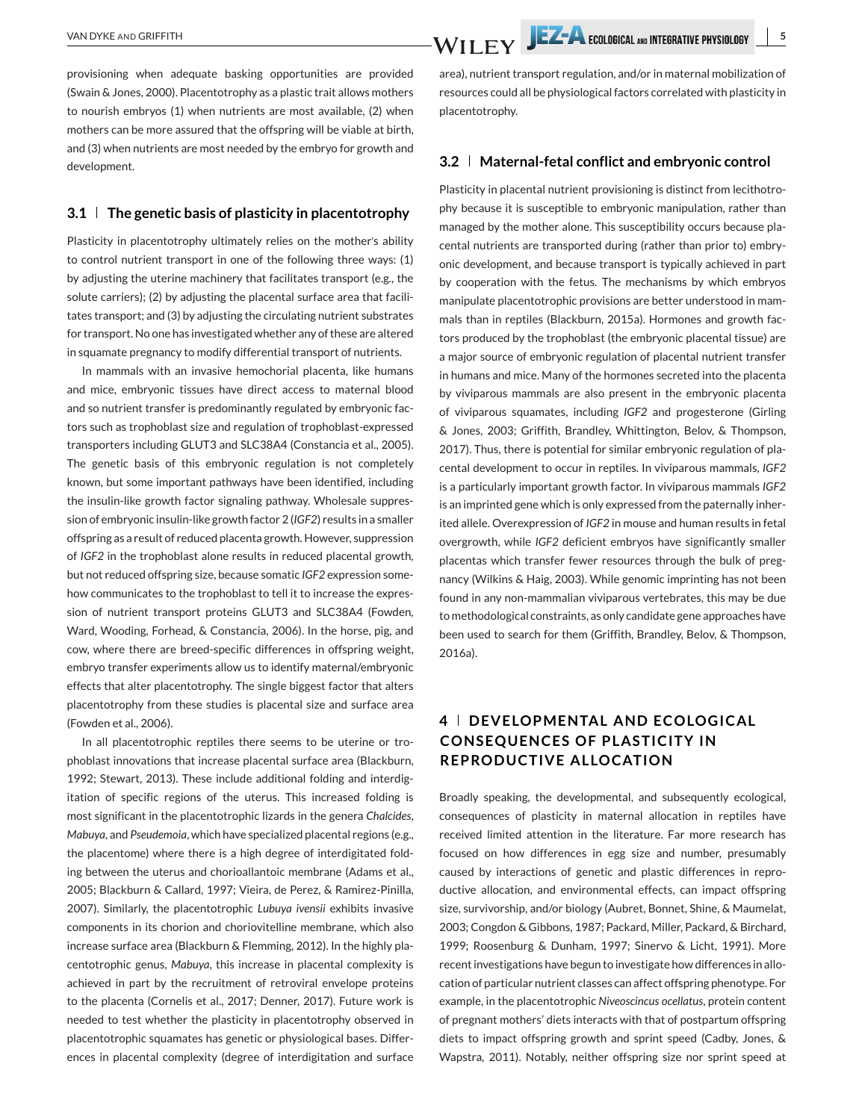provisioning when adequate basking opportunities are provided (Swain & Jones, 2000). Placentotrophy as a plastic trait allows mothers to nourish embryos (1) when nutrients are most available, (2) when mothers can be more assured that the offspring will be viable at birth, and (3) when nutrients are most needed by the embryo for growth and development.

### **3.1 The genetic basis of plasticity in placentotrophy**

Plasticity in placentotrophy ultimately relies on the mother's ability to control nutrient transport in one of the following three ways: (1) by adjusting the uterine machinery that facilitates transport (e.g., the solute carriers); (2) by adjusting the placental surface area that facilitates transport; and (3) by adjusting the circulating nutrient substrates for transport. No one has investigated whether any of these are altered in squamate pregnancy to modify differential transport of nutrients.

In mammals with an invasive hemochorial placenta, like humans and mice, embryonic tissues have direct access to maternal blood and so nutrient transfer is predominantly regulated by embryonic factors such as trophoblast size and regulation of trophoblast-expressed transporters including GLUT3 and SLC38A4 (Constancia et al., 2005). The genetic basis of this embryonic regulation is not completely known, but some important pathways have been identified, including the insulin-like growth factor signaling pathway. Wholesale suppression of embryonic insulin-like growth factor 2 (*IGF2*) results in a smaller offspring as a result of reduced placenta growth. However, suppression of *IGF2* in the trophoblast alone results in reduced placental growth, but not reduced offspring size, because somatic *IGF2* expression somehow communicates to the trophoblast to tell it to increase the expression of nutrient transport proteins GLUT3 and SLC38A4 (Fowden, Ward, Wooding, Forhead, & Constancia, 2006). In the horse, pig, and cow, where there are breed-specific differences in offspring weight, embryo transfer experiments allow us to identify maternal/embryonic effects that alter placentotrophy. The single biggest factor that alters placentotrophy from these studies is placental size and surface area (Fowden et al., 2006).

In all placentotrophic reptiles there seems to be uterine or trophoblast innovations that increase placental surface area (Blackburn, 1992; Stewart, 2013). These include additional folding and interdigitation of specific regions of the uterus. This increased folding is most significant in the placentotrophic lizards in the genera *Chalcides*, *Mabuya*, and *Pseudemoia*, which have specialized placental regions (e.g., the placentome) where there is a high degree of interdigitated folding between the uterus and chorioallantoic membrane (Adams et al., 2005; Blackburn & Callard, 1997; Vieira, de Perez, & Ramirez-Pinilla, 2007). Similarly, the placentotrophic *Lubuya ivensii* exhibits invasive components in its chorion and choriovitelline membrane, which also increase surface area (Blackburn & Flemming, 2012). In the highly placentotrophic genus, *Mabuya*, this increase in placental complexity is achieved in part by the recruitment of retroviral envelope proteins to the placenta (Cornelis et al., 2017; Denner, 2017). Future work is needed to test whether the plasticity in placentotrophy observed in placentotrophic squamates has genetic or physiological bases. Differences in placental complexity (degree of interdigitation and surface area), nutrient transport regulation, and/or in maternal mobilization of resources could all be physiological factors correlated with plasticity in placentotrophy.

### **3.2 Maternal-fetal conflict and embryonic control**

Plasticity in placental nutrient provisioning is distinct from lecithotrophy because it is susceptible to embryonic manipulation, rather than managed by the mother alone. This susceptibility occurs because placental nutrients are transported during (rather than prior to) embryonic development, and because transport is typically achieved in part by cooperation with the fetus. The mechanisms by which embryos manipulate placentotrophic provisions are better understood in mammals than in reptiles (Blackburn, 2015a). Hormones and growth factors produced by the trophoblast (the embryonic placental tissue) are a major source of embryonic regulation of placental nutrient transfer in humans and mice. Many of the hormones secreted into the placenta by viviparous mammals are also present in the embryonic placenta of viviparous squamates, including *IGF2* and progesterone (Girling & Jones, 2003; Griffith, Brandley, Whittington, Belov, & Thompson, 2017). Thus, there is potential for similar embryonic regulation of placental development to occur in reptiles. In viviparous mammals, *IGF2* is a particularly important growth factor. In viviparous mammals *IGF2* is an imprinted gene which is only expressed from the paternally inherited allele. Overexpression of *IGF2* in mouse and human results in fetal overgrowth, while *IGF2* deficient embryos have significantly smaller placentas which transfer fewer resources through the bulk of pregnancy (Wilkins & Haig, 2003). While genomic imprinting has not been found in any non-mammalian viviparous vertebrates, this may be due to methodological constraints, as only candidate gene approaches have been used to search for them (Griffith, Brandley, Belov, & Thompson, 2016a).

# **4 DEVELOPMENTAL AND ECOLOGICAL CONSEQUENCES OF PLASTICITY IN REPRODUCTIVE ALLOCATION**

Broadly speaking, the developmental, and subsequently ecological, consequences of plasticity in maternal allocation in reptiles have received limited attention in the literature. Far more research has focused on how differences in egg size and number, presumably caused by interactions of genetic and plastic differences in reproductive allocation, and environmental effects, can impact offspring size, survivorship, and/or biology (Aubret, Bonnet, Shine, & Maumelat, 2003; Congdon & Gibbons, 1987; Packard, Miller, Packard, & Birchard, 1999; Roosenburg & Dunham, 1997; Sinervo & Licht, 1991). More recent investigations have begun to investigate how differences in allocation of particular nutrient classes can affect offspring phenotype. For example, in the placentotrophic *Niveoscincus ocellatus*, protein content of pregnant mothers' diets interacts with that of postpartum offspring diets to impact offspring growth and sprint speed (Cadby, Jones, & Wapstra, 2011). Notably, neither offspring size nor sprint speed at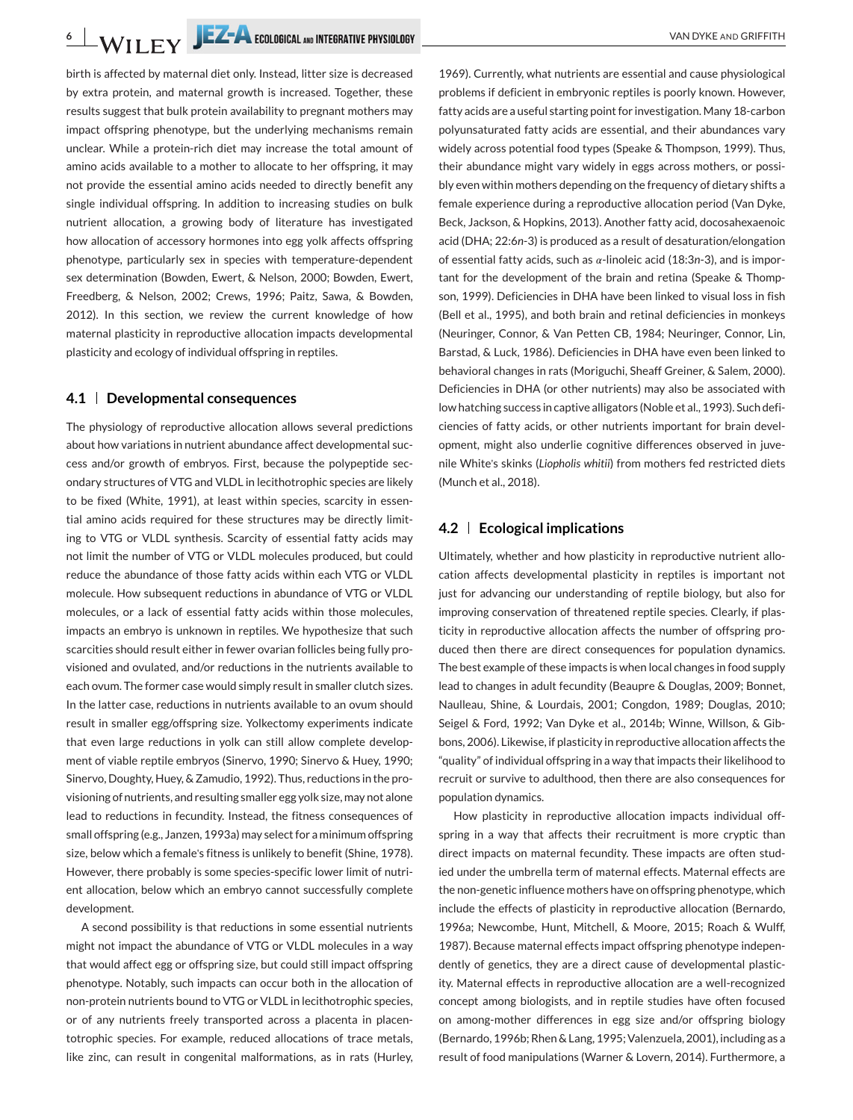birth is affected by maternal diet only. Instead, litter size is decreased by extra protein, and maternal growth is increased. Together, these results suggest that bulk protein availability to pregnant mothers may impact offspring phenotype, but the underlying mechanisms remain unclear. While a protein-rich diet may increase the total amount of amino acids available to a mother to allocate to her offspring, it may not provide the essential amino acids needed to directly benefit any single individual offspring. In addition to increasing studies on bulk nutrient allocation, a growing body of literature has investigated how allocation of accessory hormones into egg yolk affects offspring phenotype, particularly sex in species with temperature-dependent sex determination (Bowden, Ewert, & Nelson, 2000; Bowden, Ewert, Freedberg, & Nelson, 2002; Crews, 1996; Paitz, Sawa, & Bowden, 2012). In this section, we review the current knowledge of how maternal plasticity in reproductive allocation impacts developmental plasticity and ecology of individual offspring in reptiles.

# **4.1 Developmental consequences**

The physiology of reproductive allocation allows several predictions about how variations in nutrient abundance affect developmental success and/or growth of embryos. First, because the polypeptide secondary structures of VTG and VLDL in lecithotrophic species are likely to be fixed (White, 1991), at least within species, scarcity in essential amino acids required for these structures may be directly limiting to VTG or VLDL synthesis. Scarcity of essential fatty acids may not limit the number of VTG or VLDL molecules produced, but could reduce the abundance of those fatty acids within each VTG or VLDL molecule. How subsequent reductions in abundance of VTG or VLDL molecules, or a lack of essential fatty acids within those molecules, impacts an embryo is unknown in reptiles. We hypothesize that such scarcities should result either in fewer ovarian follicles being fully provisioned and ovulated, and/or reductions in the nutrients available to each ovum. The former case would simply result in smaller clutch sizes. In the latter case, reductions in nutrients available to an ovum should result in smaller egg/offspring size. Yolkectomy experiments indicate that even large reductions in yolk can still allow complete development of viable reptile embryos (Sinervo, 1990; Sinervo & Huey, 1990; Sinervo, Doughty, Huey, & Zamudio, 1992). Thus, reductions in the provisioning of nutrients, and resulting smaller egg yolk size, may not alone lead to reductions in fecundity. Instead, the fitness consequences of small offspring (e.g., Janzen, 1993a) may select for a minimum offspring size, below which a female's fitness is unlikely to benefit (Shine, 1978). However, there probably is some species-specific lower limit of nutrient allocation, below which an embryo cannot successfully complete development.

A second possibility is that reductions in some essential nutrients might not impact the abundance of VTG or VLDL molecules in a way that would affect egg or offspring size, but could still impact offspring phenotype. Notably, such impacts can occur both in the allocation of non-protein nutrients bound to VTG or VLDL in lecithotrophic species, or of any nutrients freely transported across a placenta in placentotrophic species. For example, reduced allocations of trace metals, like zinc, can result in congenital malformations, as in rats (Hurley,

1969). Currently, what nutrients are essential and cause physiological problems if deficient in embryonic reptiles is poorly known. However, fatty acids are a useful starting point for investigation. Many 18-carbon polyunsaturated fatty acids are essential, and their abundances vary widely across potential food types (Speake & Thompson, 1999). Thus, their abundance might vary widely in eggs across mothers, or possibly even within mothers depending on the frequency of dietary shifts a female experience during a reproductive allocation period (Van Dyke, Beck, Jackson, & Hopkins, 2013). Another fatty acid, docosahexaenoic acid (DHA; 22:6*n*-3) is produced as a result of desaturation/elongation of essential fatty acids, such as  $\alpha$ -linoleic acid (18:3n-3), and is important for the development of the brain and retina (Speake & Thompson, 1999). Deficiencies in DHA have been linked to visual loss in fish (Bell et al., 1995), and both brain and retinal deficiencies in monkeys (Neuringer, Connor, & Van Petten CB, 1984; Neuringer, Connor, Lin, Barstad, & Luck, 1986). Deficiencies in DHA have even been linked to behavioral changes in rats (Moriguchi, Sheaff Greiner, & Salem, 2000). Deficiencies in DHA (or other nutrients) may also be associated with low hatching success in captive alligators (Noble et al., 1993). Such deficiencies of fatty acids, or other nutrients important for brain development, might also underlie cognitive differences observed in juvenile White's skinks (*Liopholis whitii*) from mothers fed restricted diets (Munch et al., 2018).

## **4.2 Ecological implications**

Ultimately, whether and how plasticity in reproductive nutrient allocation affects developmental plasticity in reptiles is important not just for advancing our understanding of reptile biology, but also for improving conservation of threatened reptile species. Clearly, if plasticity in reproductive allocation affects the number of offspring produced then there are direct consequences for population dynamics. The best example of these impacts is when local changes in food supply lead to changes in adult fecundity (Beaupre & Douglas, 2009; Bonnet, Naulleau, Shine, & Lourdais, 2001; Congdon, 1989; Douglas, 2010; Seigel & Ford, 1992; Van Dyke et al., 2014b; Winne, Willson, & Gibbons, 2006). Likewise, if plasticity in reproductive allocation affects the "quality" of individual offspring in a way that impacts their likelihood to recruit or survive to adulthood, then there are also consequences for population dynamics.

How plasticity in reproductive allocation impacts individual offspring in a way that affects their recruitment is more cryptic than direct impacts on maternal fecundity. These impacts are often studied under the umbrella term of maternal effects. Maternal effects are the non-genetic influence mothers have on offspring phenotype, which include the effects of plasticity in reproductive allocation (Bernardo, 1996a; Newcombe, Hunt, Mitchell, & Moore, 2015; Roach & Wulff, 1987). Because maternal effects impact offspring phenotype independently of genetics, they are a direct cause of developmental plasticity. Maternal effects in reproductive allocation are a well-recognized concept among biologists, and in reptile studies have often focused on among-mother differences in egg size and/or offspring biology (Bernardo, 1996b; Rhen & Lang, 1995; Valenzuela, 2001), including as a result of food manipulations (Warner & Lovern, 2014). Furthermore, a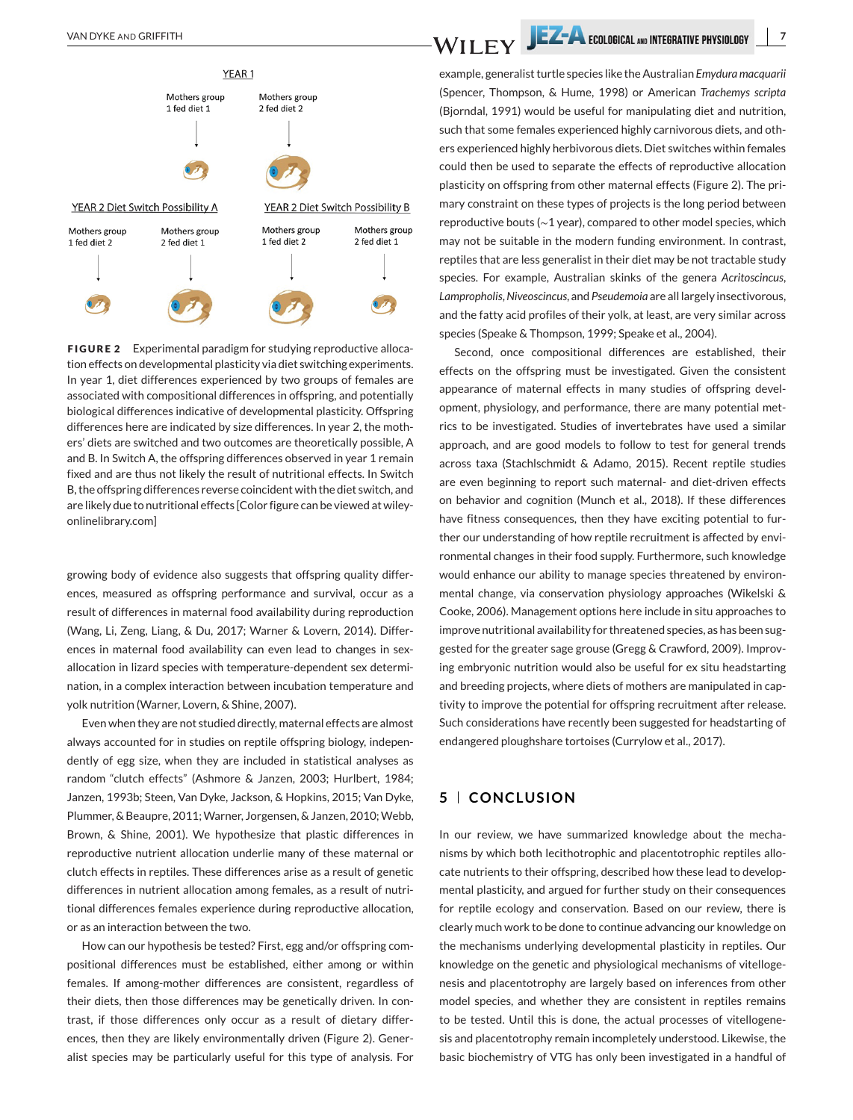

**FIGURE 2** Experimental paradigm for studying reproductive allocation effects on developmental plasticity via diet switching experiments. In year 1, diet differences experienced by two groups of females are associated with compositional differences in offspring, and potentially biological differences indicative of developmental plasticity. Offspring differences here are indicated by size differences. In year 2, the mothers' diets are switched and two outcomes are theoretically possible, A and B. In Switch A, the offspring differences observed in year 1 remain fixed and are thus not likely the result of nutritional effects. In Switch B, the offspring differences reverse coincident with the diet switch, and are likely due to nutritional effects [Color figure can be viewed at wileyonlinelibrary.com]

growing body of evidence also suggests that offspring quality differences, measured as offspring performance and survival, occur as a result of differences in maternal food availability during reproduction (Wang, Li, Zeng, Liang, & Du, 2017; Warner & Lovern, 2014). Differences in maternal food availability can even lead to changes in sexallocation in lizard species with temperature-dependent sex determination, in a complex interaction between incubation temperature and yolk nutrition (Warner, Lovern, & Shine, 2007).

Even when they are not studied directly, maternal effects are almost always accounted for in studies on reptile offspring biology, independently of egg size, when they are included in statistical analyses as random "clutch effects" (Ashmore & Janzen, 2003; Hurlbert, 1984; Janzen, 1993b; Steen, Van Dyke, Jackson, & Hopkins, 2015; Van Dyke, Plummer, & Beaupre, 2011; Warner, Jorgensen, & Janzen, 2010; Webb, Brown, & Shine, 2001). We hypothesize that plastic differences in reproductive nutrient allocation underlie many of these maternal or clutch effects in reptiles. These differences arise as a result of genetic differences in nutrient allocation among females, as a result of nutritional differences females experience during reproductive allocation, or as an interaction between the two.

How can our hypothesis be tested? First, egg and/or offspring compositional differences must be established, either among or within females. If among-mother differences are consistent, regardless of their diets, then those differences may be genetically driven. In contrast, if those differences only occur as a result of dietary differences, then they are likely environmentally driven (Figure 2). Generalist species may be particularly useful for this type of analysis. For

example, generalist turtle species like the Australian *Emydura macquarii* (Spencer, Thompson, & Hume, 1998) or American *Trachemys scripta* (Bjorndal, 1991) would be useful for manipulating diet and nutrition, such that some females experienced highly carnivorous diets, and others experienced highly herbivorous diets. Diet switches within females could then be used to separate the effects of reproductive allocation plasticity on offspring from other maternal effects (Figure 2). The primary constraint on these types of projects is the long period between reproductive bouts (∼1 year), compared to other model species, which may not be suitable in the modern funding environment. In contrast, reptiles that are less generalist in their diet may be not tractable study species. For example, Australian skinks of the genera *Acritoscincus*, *Lampropholis*,*Niveoscincus*, and *Pseudemoia* are all largely insectivorous, and the fatty acid profiles of their yolk, at least, are very similar across species (Speake & Thompson, 1999; Speake et al., 2004).

Second, once compositional differences are established, their effects on the offspring must be investigated. Given the consistent appearance of maternal effects in many studies of offspring development, physiology, and performance, there are many potential metrics to be investigated. Studies of invertebrates have used a similar approach, and are good models to follow to test for general trends across taxa (Stachlschmidt & Adamo, 2015). Recent reptile studies are even beginning to report such maternal- and diet-driven effects on behavior and cognition (Munch et al., 2018). If these differences have fitness consequences, then they have exciting potential to further our understanding of how reptile recruitment is affected by environmental changes in their food supply. Furthermore, such knowledge would enhance our ability to manage species threatened by environmental change, via conservation physiology approaches (Wikelski & Cooke, 2006). Management options here include in situ approaches to improve nutritional availability for threatened species, as has been suggested for the greater sage grouse (Gregg & Crawford, 2009). Improving embryonic nutrition would also be useful for ex situ headstarting and breeding projects, where diets of mothers are manipulated in captivity to improve the potential for offspring recruitment after release. Such considerations have recently been suggested for headstarting of endangered ploughshare tortoises (Currylow et al., 2017).

# **5 CONCLUSION**

In our review, we have summarized knowledge about the mechanisms by which both lecithotrophic and placentotrophic reptiles allocate nutrients to their offspring, described how these lead to developmental plasticity, and argued for further study on their consequences for reptile ecology and conservation. Based on our review, there is clearly much work to be done to continue advancing our knowledge on the mechanisms underlying developmental plasticity in reptiles. Our knowledge on the genetic and physiological mechanisms of vitellogenesis and placentotrophy are largely based on inferences from other model species, and whether they are consistent in reptiles remains to be tested. Until this is done, the actual processes of vitellogenesis and placentotrophy remain incompletely understood. Likewise, the basic biochemistry of VTG has only been investigated in a handful of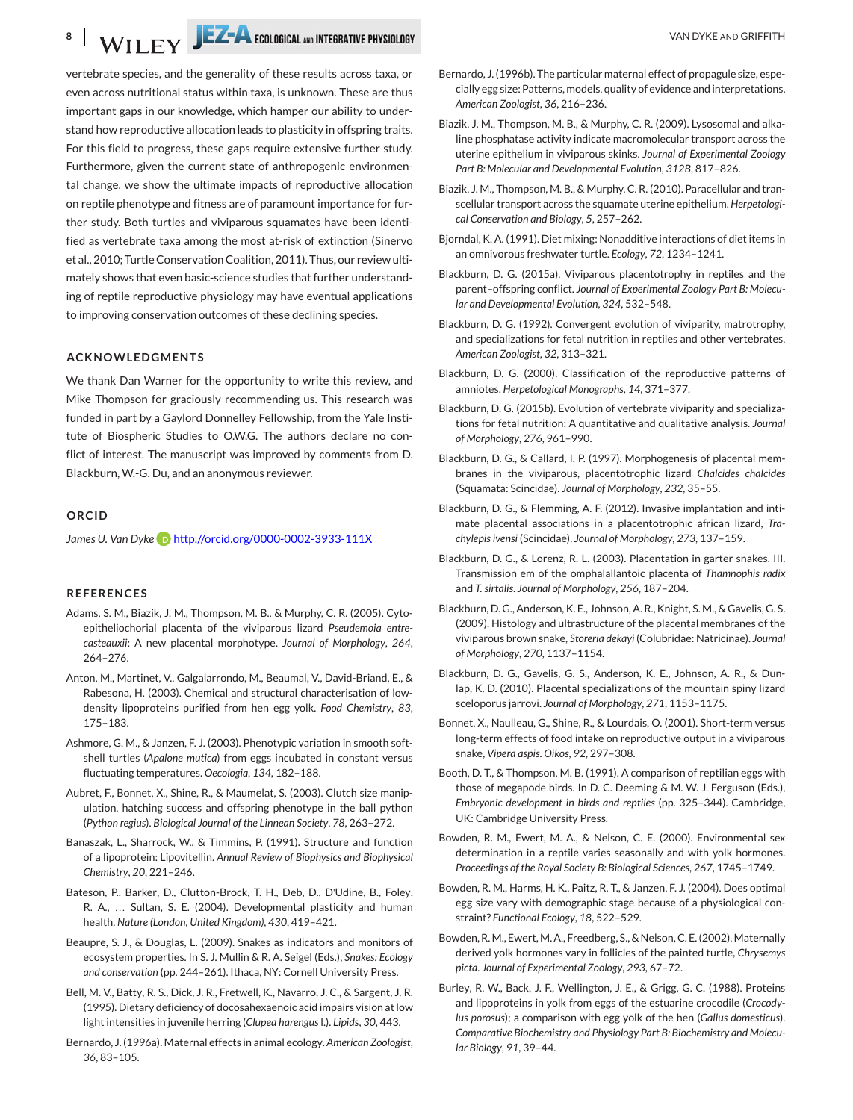vertebrate species, and the generality of these results across taxa, or even across nutritional status within taxa, is unknown. These are thus important gaps in our knowledge, which hamper our ability to understand how reproductive allocation leads to plasticity in offspring traits. For this field to progress, these gaps require extensive further study. Furthermore, given the current state of anthropogenic environmental change, we show the ultimate impacts of reproductive allocation on reptile phenotype and fitness are of paramount importance for further study. Both turtles and viviparous squamates have been identified as vertebrate taxa among the most at-risk of extinction (Sinervo et al., 2010; Turtle Conservation Coalition, 2011). Thus, our review ultimately shows that even basic-science studies that further understanding of reptile reproductive physiology may have eventual applications to improving conservation outcomes of these declining species.

#### **ACKNOWLEDGMENTS**

We thank Dan Warner for the opportunity to write this review, and Mike Thompson for graciously recommending us. This research was funded in part by a Gaylord Donnelley Fellowship, from the Yale Institute of Biospheric Studies to O.W.G. The authors declare no conflict of interest. The manuscript was improved by comments from D. Blackburn, W.-G. Du, and an anonymous reviewer.

### **ORCID**

James U. Van Dyke **iD** <http://orcid.org/0000-0002-3933-111X>

#### **REFERENCES**

- Adams, S. M., Biazik, J. M., Thompson, M. B., & Murphy, C. R. (2005). Cytoepitheliochorial placenta of the viviparous lizard *Pseudemoia entrecasteauxii*: A new placental morphotype. *Journal of Morphology*, *264*, 264–276.
- Anton, M., Martinet, V., Galgalarrondo, M., Beaumal, V., David-Briand, E., & Rabesona, H. (2003). Chemical and structural characterisation of lowdensity lipoproteins purified from hen egg yolk. *Food Chemistry*, *83*, 175–183.
- Ashmore, G. M., & Janzen, F. J. (2003). Phenotypic variation in smooth softshell turtles (*Apalone mutica*) from eggs incubated in constant versus fluctuating temperatures. *Oecologia*, *134*, 182–188.
- Aubret, F., Bonnet, X., Shine, R., & Maumelat, S. (2003). Clutch size manipulation, hatching success and offspring phenotype in the ball python (*Python regius*). *Biological Journal of the Linnean Society*, *78*, 263–272.
- Banaszak, L., Sharrock, W., & Timmins, P. (1991). Structure and function of a lipoprotein: Lipovitellin. *Annual Review of Biophysics and Biophysical Chemistry*, *20*, 221–246.
- Bateson, P., Barker, D., Clutton-Brock, T. H., Deb, D., D'Udine, B., Foley, R. A., … Sultan, S. E. (2004). Developmental plasticity and human health. *Nature (London, United Kingdom)*, *430*, 419–421.
- Beaupre, S. J., & Douglas, L. (2009). Snakes as indicators and monitors of ecosystem properties. In S. J. Mullin & R. A. Seigel (Eds.), *Snakes: Ecology and conservation* (pp. 244–261). Ithaca, NY: Cornell University Press.
- Bell, M. V., Batty, R. S., Dick, J. R., Fretwell, K., Navarro, J. C., & Sargent, J. R. (1995). Dietary deficiency of docosahexaenoic acid impairs vision at low light intensities in juvenile herring (*Clupea harengus*l.). *Lipids*, *30*, 443.
- Bernardo, J. (1996a). Maternal effects in animal ecology. *American Zoologist*, *36*, 83–105.
- Bernardo, J. (1996b). The particular maternal effect of propagule size, especially egg size: Patterns, models, quality of evidence and interpretations. *American Zoologist*, *36*, 216–236.
- Biazik, J. M., Thompson, M. B., & Murphy, C. R. (2009). Lysosomal and alkaline phosphatase activity indicate macromolecular transport across the uterine epithelium in viviparous skinks. *Journal of Experimental Zoology Part B: Molecular and Developmental Evolution*, *312B*, 817–826.
- Biazik, J. M., Thompson, M. B., & Murphy, C. R. (2010). Paracellular and transcellular transport across the squamate uterine epithelium. *Herpetological Conservation and Biology*, *5*, 257–262.
- Bjorndal, K. A. (1991). Diet mixing: Nonadditive interactions of diet items in an omnivorous freshwater turtle. *Ecology*, *72*, 1234–1241.
- Blackburn, D. G. (2015a). Viviparous placentotrophy in reptiles and the parent–offspring conflict. *Journal of Experimental Zoology Part B: Molecular and Developmental Evolution*, *324*, 532–548.
- Blackburn, D. G. (1992). Convergent evolution of viviparity, matrotrophy, and specializations for fetal nutrition in reptiles and other vertebrates. *American Zoologist*, *32*, 313–321.
- Blackburn, D. G. (2000). Classification of the reproductive patterns of amniotes. *Herpetological Monographs*, *14*, 371–377.
- Blackburn, D. G. (2015b). Evolution of vertebrate viviparity and specializations for fetal nutrition: A quantitative and qualitative analysis. *Journal of Morphology*, *276*, 961–990.
- Blackburn, D. G., & Callard, I. P. (1997). Morphogenesis of placental membranes in the viviparous, placentotrophic lizard *Chalcides chalcides* (Squamata: Scincidae). *Journal of Morphology*, *232*, 35–55.
- Blackburn, D. G., & Flemming, A. F. (2012). Invasive implantation and intimate placental associations in a placentotrophic african lizard, *Trachylepis ivensi* (Scincidae). *Journal of Morphology*, *273*, 137–159.
- Blackburn, D. G., & Lorenz, R. L. (2003). Placentation in garter snakes. III. Transmission em of the omphalallantoic placenta of *Thamnophis radix* and *T. sirtalis*. *Journal of Morphology*, *256*, 187–204.
- Blackburn, D. G., Anderson, K. E., Johnson, A. R., Knight, S. M., & Gavelis, G. S. (2009). Histology and ultrastructure of the placental membranes of the viviparous brown snake, *Storeria dekayi* (Colubridae: Natricinae). *Journal of Morphology*, *270*, 1137–1154.
- Blackburn, D. G., Gavelis, G. S., Anderson, K. E., Johnson, A. R., & Dunlap, K. D. (2010). Placental specializations of the mountain spiny lizard sceloporus jarrovi. *Journal of Morphology*, *271*, 1153–1175.
- Bonnet, X., Naulleau, G., Shine, R., & Lourdais, O. (2001). Short-term versus long-term effects of food intake on reproductive output in a viviparous snake, *Vipera aspis*. *Oikos*, *92*, 297–308.
- Booth, D. T., & Thompson, M. B. (1991). A comparison of reptilian eggs with those of megapode birds. In D. C. Deeming & M. W. J. Ferguson (Eds.), *Embryonic development in birds and reptiles* (pp. 325–344). Cambridge, UK: Cambridge University Press.
- Bowden, R. M., Ewert, M. A., & Nelson, C. E. (2000). Environmental sex determination in a reptile varies seasonally and with yolk hormones. *Proceedings of the Royal Society B: Biological Sciences*, *267*, 1745–1749.
- Bowden, R. M., Harms, H. K., Paitz, R. T., & Janzen, F. J. (2004). Does optimal egg size vary with demographic stage because of a physiological constraint? *Functional Ecology*, *18*, 522–529.
- Bowden, R. M., Ewert, M. A., Freedberg, S., & Nelson, C. E. (2002). Maternally derived yolk hormones vary in follicles of the painted turtle, *Chrysemys picta*. *Journal of Experimental Zoology*, *293*, 67–72.
- Burley, R. W., Back, J. F., Wellington, J. E., & Grigg, G. C. (1988). Proteins and lipoproteins in yolk from eggs of the estuarine crocodile (*Crocodylus porosus*); a comparison with egg yolk of the hen (*Gallus domesticus*). *Comparative Biochemistry and Physiology Part B: Biochemistry and Molecular Biology*, *91*, 39–44.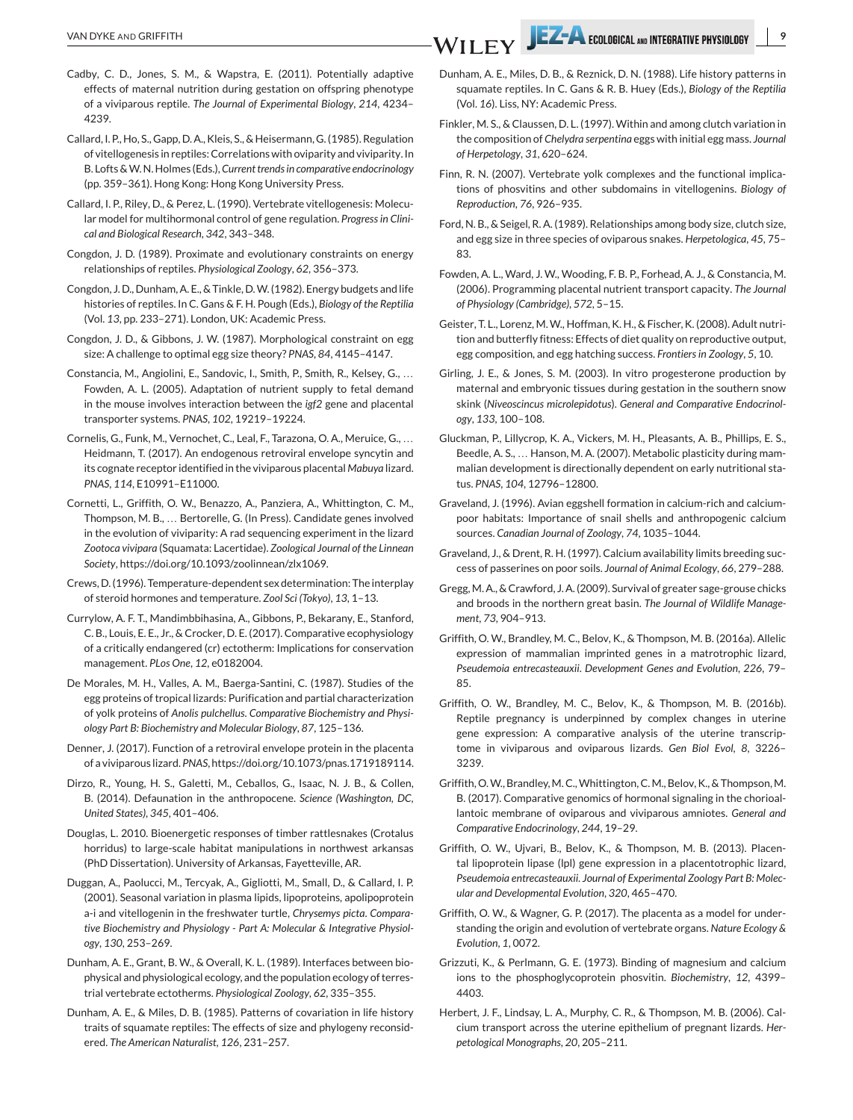- Cadby, C. D., Jones, S. M., & Wapstra, E. (2011). Potentially adaptive effects of maternal nutrition during gestation on offspring phenotype of a viviparous reptile. *The Journal of Experimental Biology*, *214*, 4234– 4239.
- Callard, I. P., Ho, S., Gapp, D. A., Kleis, S., & Heisermann, G. (1985). Regulation of vitellogenesis in reptiles: Correlations with oviparity and viviparity. In B. Lofts &W. N. Holmes (Eds.),*Current trends in comparative endocrinology* (pp. 359–361). Hong Kong: Hong Kong University Press.
- Callard, I. P., Riley, D., & Perez, L. (1990). Vertebrate vitellogenesis: Molecular model for multihormonal control of gene regulation. *Progress in Clinical and Biological Research*, *342*, 343–348.
- Congdon, J. D. (1989). Proximate and evolutionary constraints on energy relationships of reptiles. *Physiological Zoology*, *62*, 356–373.
- Congdon, J. D., Dunham, A. E., & Tinkle, D.W. (1982). Energy budgets and life histories of reptiles. In C. Gans & F. H. Pough (Eds.), *Biology of the Reptilia* (Vol. *13*, pp. 233–271). London, UK: Academic Press.
- Congdon, J. D., & Gibbons, J. W. (1987). Morphological constraint on egg size: A challenge to optimal egg size theory? *PNAS*, *84*, 4145–4147.
- Constancia, M., Angiolini, E., Sandovic, I., Smith, P., Smith, R., Kelsey, G., … Fowden, A. L. (2005). Adaptation of nutrient supply to fetal demand in the mouse involves interaction between the *igf2* gene and placental transporter systems. *PNAS*, *102*, 19219–19224.
- Cornelis, G., Funk, M., Vernochet, C., Leal, F., Tarazona, O. A., Meruice, G., … Heidmann, T. (2017). An endogenous retroviral envelope syncytin and its cognate receptor identified in the viviparous placental *Mabuya* lizard. *PNAS*, *114*, E10991–E11000.
- Cornetti, L., Griffith, O. W., Benazzo, A., Panziera, A., Whittington, C. M., Thompson, M. B., … Bertorelle, G. (In Press). Candidate genes involved in the evolution of viviparity: A rad sequencing experiment in the lizard *Zootoca vivipara* (Squamata: Lacertidae). *Zoological Journal of the Linnean Society*, [https://doi.org/10.1093/zoolinnean/zlx1069.](https://doi.org/10.1093/zoolinnean/zlx1069)
- Crews, D. (1996). Temperature-dependent sex determination: The interplay of steroid hormones and temperature. *Zool Sci (Tokyo)*, *13*, 1–13.
- Currylow, A. F. T., Mandimbbihasina, A., Gibbons, P., Bekarany, E., Stanford, C. B., Louis, E. E., Jr., & Crocker, D. E. (2017). Comparative ecophysiology of a critically endangered (cr) ectotherm: Implications for conservation management. *PLos One*, *12*, e0182004.
- De Morales, M. H., Valles, A. M., Baerga-Santini, C. (1987). Studies of the egg proteins of tropical lizards: Purification and partial characterization of yolk proteins of *Anolis pulchellus*. *Comparative Biochemistry and Physiology Part B: Biochemistry and Molecular Biology*, *87*, 125–136.
- Denner, J. (2017). Function of a retroviral envelope protein in the placenta of a viviparous lizard. *PNAS*, [https://doi.org/10.1073/pnas.1719189114.](https://doi.org/10.1073/pnas.1719189114)
- Dirzo, R., Young, H. S., Galetti, M., Ceballos, G., Isaac, N. J. B., & Collen, B. (2014). Defaunation in the anthropocene. *Science (Washington, DC, United States)*, *345*, 401–406.
- Douglas, L. 2010. Bioenergetic responses of timber rattlesnakes (Crotalus horridus) to large-scale habitat manipulations in northwest arkansas (PhD Dissertation). University of Arkansas, Fayetteville, AR.
- Duggan, A., Paolucci, M., Tercyak, A., Gigliotti, M., Small, D., & Callard, I. P. (2001). Seasonal variation in plasma lipids, lipoproteins, apolipoprotein a-i and vitellogenin in the freshwater turtle, *Chrysemys picta*. *Comparative Biochemistry and Physiology - Part A: Molecular & Integrative Physiology*, *130*, 253–269.
- Dunham, A. E., Grant, B. W., & Overall, K. L. (1989). Interfaces between biophysical and physiological ecology, and the population ecology of terrestrial vertebrate ectotherms. *Physiological Zoology*, *62*, 335–355.
- Dunham, A. E., & Miles, D. B. (1985). Patterns of covariation in life history traits of squamate reptiles: The effects of size and phylogeny reconsidered. *The American Naturalist*, *126*, 231–257.
- Dunham, A. E., Miles, D. B., & Reznick, D. N. (1988). Life history patterns in squamate reptiles. In C. Gans & R. B. Huey (Eds.), *Biology of the Reptilia* (Vol. *16*). Liss, NY: Academic Press.
- Finkler, M. S., & Claussen, D. L. (1997). Within and among clutch variation in the composition of *Chelydra serpentina* eggs with initial egg mass. *Journal of Herpetology*, *31*, 620–624.
- Finn, R. N. (2007). Vertebrate yolk complexes and the functional implications of phosvitins and other subdomains in vitellogenins. *Biology of Reproduction*, *76*, 926–935.
- Ford, N. B., & Seigel, R. A. (1989). Relationships among body size, clutch size, and egg size in three species of oviparous snakes. *Herpetologica*, *45*, 75– 83.
- Fowden, A. L., Ward, J. W., Wooding, F. B. P., Forhead, A. J., & Constancia, M. (2006). Programming placental nutrient transport capacity. *The Journal of Physiology (Cambridge)*, *572*, 5–15.
- Geister, T. L., Lorenz, M.W., Hoffman, K. H., & Fischer, K. (2008). Adult nutrition and butterfly fitness: Effects of diet quality on reproductive output, egg composition, and egg hatching success. *Frontiers in Zoology*, *5*, 10.
- Girling, J. E., & Jones, S. M. (2003). In vitro progesterone production by maternal and embryonic tissues during gestation in the southern snow skink (*Niveoscincus microlepidotus*). *General and Comparative Endocrinology*, *133*, 100–108.
- Gluckman, P., Lillycrop, K. A., Vickers, M. H., Pleasants, A. B., Phillips, E. S., Beedle, A. S., … Hanson, M. A. (2007). Metabolic plasticity during mammalian development is directionally dependent on early nutritional status. *PNAS*, *104*, 12796–12800.
- Graveland, J. (1996). Avian eggshell formation in calcium-rich and calciumpoor habitats: Importance of snail shells and anthropogenic calcium sources. *Canadian Journal of Zoology*, *74*, 1035–1044.
- Graveland, J., & Drent, R. H. (1997). Calcium availability limits breeding success of passerines on poor soils. *Journal of Animal Ecology*, *66*, 279–288.
- Gregg,M. A., & Crawford, J. A. (2009). Survival of greater sage-grouse chicks and broods in the northern great basin. *The Journal of Wildlife Management*, *73*, 904–913.
- Griffith, O. W., Brandley, M. C., Belov, K., & Thompson, M. B. (2016a). Allelic expression of mammalian imprinted genes in a matrotrophic lizard, *Pseudemoia entrecasteauxii*. *Development Genes and Evolution*, *226*, 79– 85.
- Griffith, O. W., Brandley, M. C., Belov, K., & Thompson, M. B. (2016b). Reptile pregnancy is underpinned by complex changes in uterine gene expression: A comparative analysis of the uterine transcriptome in viviparous and oviparous lizards. *Gen Biol Evol*, *8*, 3226– 3239.
- Griffith, O.W., Brandley, M.C., Whittington, C.M., Belov, K., & Thompson, M. B. (2017). Comparative genomics of hormonal signaling in the chorioallantoic membrane of oviparous and viviparous amniotes. *General and Comparative Endocrinology*, *244*, 19–29.
- Griffith, O. W., Ujvari, B., Belov, K., & Thompson, M. B. (2013). Placental lipoprotein lipase (lpl) gene expression in a placentotrophic lizard, *Pseudemoia entrecasteauxii*. *Journal of Experimental Zoology Part B: Molecular and Developmental Evolution*, *320*, 465–470.
- Griffith, O. W., & Wagner, G. P. (2017). The placenta as a model for understanding the origin and evolution of vertebrate organs. *Nature Ecology & Evolution*, *1*, 0072.
- Grizzuti, K., & Perlmann, G. E. (1973). Binding of magnesium and calcium ions to the phosphoglycoprotein phosvitin. *Biochemistry*, *12*, 4399– 4403.
- Herbert, J. F., Lindsay, L. A., Murphy, C. R., & Thompson, M. B. (2006). Calcium transport across the uterine epithelium of pregnant lizards. *Herpetological Monographs*, *20*, 205–211.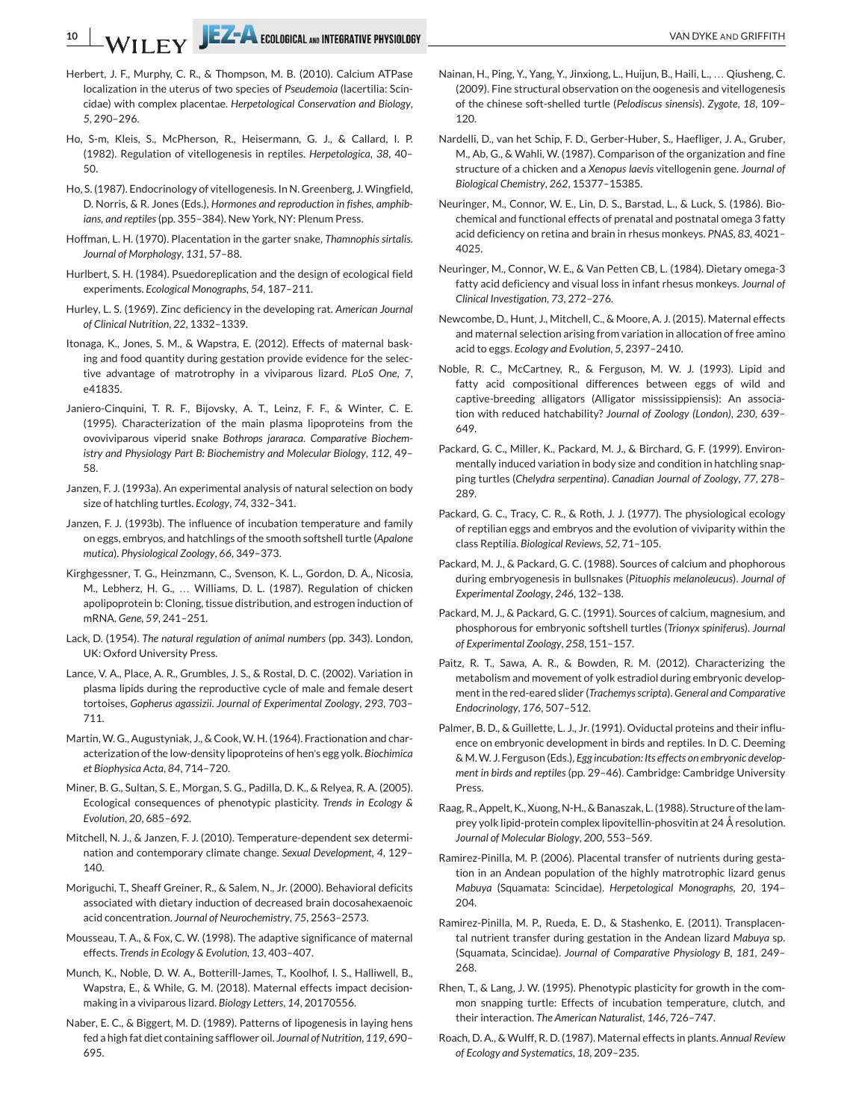- Herbert, J. F., Murphy, C. R., & Thompson, M. B. (2010). Calcium ATPase localization in the uterus of two species of *Pseudemoia* (lacertilia: Scincidae) with complex placentae. *Herpetological Conservation and Biology*, *5*, 290–296.
- Ho, S-m, Kleis, S., McPherson, R., Heisermann, G. J., & Callard, I. P. (1982). Regulation of vitellogenesis in reptiles. *Herpetologica*, *38*, 40– 50.
- Ho, S. (1987). Endocrinology of vitellogenesis. In N. Greenberg, J. Wingfield, D. Norris, & R. Jones (Eds.), *Hormones and reproduction in fishes, amphibians, and reptiles*(pp. 355–384). New York, NY: Plenum Press.
- Hoffman, L. H. (1970). Placentation in the garter snake, *Thamnophis sirtalis*. *Journal of Morphology*, *131*, 57–88.
- Hurlbert, S. H. (1984). Psuedoreplication and the design of ecological field experiments. *Ecological Monographs*, *54*, 187–211.
- Hurley, L. S. (1969). Zinc deficiency in the developing rat. *American Journal of Clinical Nutrition*, *22*, 1332–1339.
- Itonaga, K., Jones, S. M., & Wapstra, E. (2012). Effects of maternal basking and food quantity during gestation provide evidence for the selective advantage of matrotrophy in a viviparous lizard. *PLoS One*, *7*, e41835.
- Janiero-Cinquini, T. R. F., Bijovsky, A. T., Leinz, F. F., & Winter, C. E. (1995). Characterization of the main plasma lipoproteins from the ovoviviparous viperid snake *Bothrops jararaca*. *Comparative Biochemistry and Physiology Part B: Biochemistry and Molecular Biology*, *112*, 49– 58.
- Janzen, F. J. (1993a). An experimental analysis of natural selection on body size of hatchling turtles. *Ecology*, *74*, 332–341.
- Janzen, F. J. (1993b). The influence of incubation temperature and family on eggs, embryos, and hatchlings of the smooth softshell turtle (*Apalone mutica*). *Physiological Zoology*, *66*, 349–373.
- Kirghgessner, T. G., Heinzmann, C., Svenson, K. L., Gordon, D. A., Nicosia, M., Lebherz, H. G., … Williams, D. L. (1987). Regulation of chicken apolipoprotein b: Cloning, tissue distribution, and estrogen induction of mRNA. *Gene*, *59*, 241–251.
- Lack, D. (1954). *The natural regulation of animal numbers* (pp. 343). London, UK: Oxford University Press.
- Lance, V. A., Place, A. R., Grumbles, J. S., & Rostal, D. C. (2002). Variation in plasma lipids during the reproductive cycle of male and female desert tortoises, *Gopherus agassizii*. *Journal of Experimental Zoology*, *293*, 703– 711.
- Martin, W. G., Augustyniak, J., & Cook, W. H. (1964). Fractionation and characterization of the low-density lipoproteins of hen's egg yolk. *Biochimica et Biophysica Acta*, *84*, 714–720.
- Miner, B. G., Sultan, S. E., Morgan, S. G., Padilla, D. K., & Relyea, R. A. (2005). Ecological consequences of phenotypic plasticity. *Trends in Ecology & Evolution*, *20*, 685–692.
- Mitchell, N. J., & Janzen, F. J. (2010). Temperature-dependent sex determination and contemporary climate change. *Sexual Development*, *4*, 129– 140.
- Moriguchi, T., Sheaff Greiner, R., & Salem, N., Jr. (2000). Behavioral deficits associated with dietary induction of decreased brain docosahexaenoic acid concentration. *Journal of Neurochemistry*, *75*, 2563–2573.
- Mousseau, T. A., & Fox, C. W. (1998). The adaptive significance of maternal effects. *Trends in Ecology & Evolution*, *13*, 403–407.
- Munch, K., Noble, D. W. A., Botterill-James, T., Koolhof, I. S., Halliwell, B., Wapstra, E., & While, G. M. (2018). Maternal effects impact decisionmaking in a viviparous lizard. *Biology Letters*, *14*, 20170556.
- Naber, E. C., & Biggert, M. D. (1989). Patterns of lipogenesis in laying hens fed a high fat diet containing safflower oil. *Journal of Nutrition*, *119*, 690– 695.
- Nainan, H., Ping, Y., Yang, Y., Jinxiong, L., Huijun, B., Haili, L., … Qiusheng, C. (2009). Fine structural observation on the oogenesis and vitellogenesis of the chinese soft-shelled turtle (*Pelodiscus sinensis*). *Zygote*, *18*, 109– 120.
- Nardelli, D., van het Schip, F. D., Gerber-Huber, S., Haefliger, J. A., Gruber, M., Ab, G., & Wahli, W. (1987). Comparison of the organization and fine structure of a chicken and a *Xenopus laevis* vitellogenin gene. *Journal of Biological Chemistry*, *262*, 15377–15385.
- Neuringer, M., Connor, W. E., Lin, D. S., Barstad, L., & Luck, S. (1986). Biochemical and functional effects of prenatal and postnatal omega 3 fatty acid deficiency on retina and brain in rhesus monkeys. *PNAS*, *83*, 4021– 4025.
- Neuringer, M., Connor, W. E., & Van Petten CB, L. (1984). Dietary omega-3 fatty acid deficiency and visual loss in infant rhesus monkeys. *Journal of Clinical Investigation*, *73*, 272–276.
- Newcombe, D., Hunt, J., Mitchell, C., & Moore, A. J. (2015). Maternal effects and maternal selection arising from variation in allocation of free amino acid to eggs. *Ecology and Evolution*, *5*, 2397–2410.
- Noble, R. C., McCartney, R., & Ferguson, M. W. J. (1993). Lipid and fatty acid compositional differences between eggs of wild and captive-breeding alligators (Alligator mississippiensis): An association with reduced hatchability? *Journal of Zoology (London)*, *230*, 639– 649.
- Packard, G. C., Miller, K., Packard, M. J., & Birchard, G. F. (1999). Environmentally induced variation in body size and condition in hatchling snapping turtles (*Chelydra serpentina*). *Canadian Journal of Zoology*, *77*, 278– 289.
- Packard, G. C., Tracy, C. R., & Roth, J. J. (1977). The physiological ecology of reptilian eggs and embryos and the evolution of viviparity within the class Reptilia. *Biological Reviews*, *52*, 71–105.
- Packard, M. J., & Packard, G. C. (1988). Sources of calcium and phophorous during embryogenesis in bullsnakes (*Pituophis melanoleucus*). *Journal of Experimental Zoology*, *246*, 132–138.
- Packard, M. J., & Packard, G. C. (1991). Sources of calcium, magnesium, and phosphorous for embryonic softshell turtles (*Trionyx spiniferus*). *Journal of Experimental Zoology*, *258*, 151–157.
- Paitz, R. T., Sawa, A. R., & Bowden, R. M. (2012). Characterizing the metabolism and movement of yolk estradiol during embryonic development in the red-eared slider (*Trachemys scripta*).*General and Comparative Endocrinology*, *176*, 507–512.
- Palmer, B. D., & Guillette, L. J., Jr. (1991). Oviductal proteins and their influence on embryonic development in birds and reptiles. In D. C. Deeming & M.W. J. Ferguson (Eds.), *Egg incubation: Its effects on embryonic development in birds and reptiles* (pp. 29–46). Cambridge: Cambridge University Press.
- Raag, R., Appelt, K., Xuong, N-H., & Banaszak, L. (1988). Structure of the lamprey yolk lipid-protein complex lipovitellin-phosvitin at 24 Å resolution. *Journal of Molecular Biology*, *200*, 553–569.
- Ramirez-Pinilla, M. P. (2006). Placental transfer of nutrients during gestation in an Andean population of the highly matrotrophic lizard genus *Mabuya* (Squamata: Scincidae). *Herpetological Monographs*, *20*, 194– 204.
- Ramirez-Pinilla, M. P., Rueda, E. D., & Stashenko, E. (2011). Transplacental nutrient transfer during gestation in the Andean lizard *Mabuya* sp. (Squamata, Scincidae). *Journal of Comparative Physiology B*, *181*, 249– 268.
- Rhen, T., & Lang, J. W. (1995). Phenotypic plasticity for growth in the common snapping turtle: Effects of incubation temperature, clutch, and their interaction. *The American Naturalist*, *146*, 726–747.
- Roach, D. A., & Wulff, R. D. (1987). Maternal effects in plants. *Annual Review of Ecology and Systematics*, *18*, 209–235.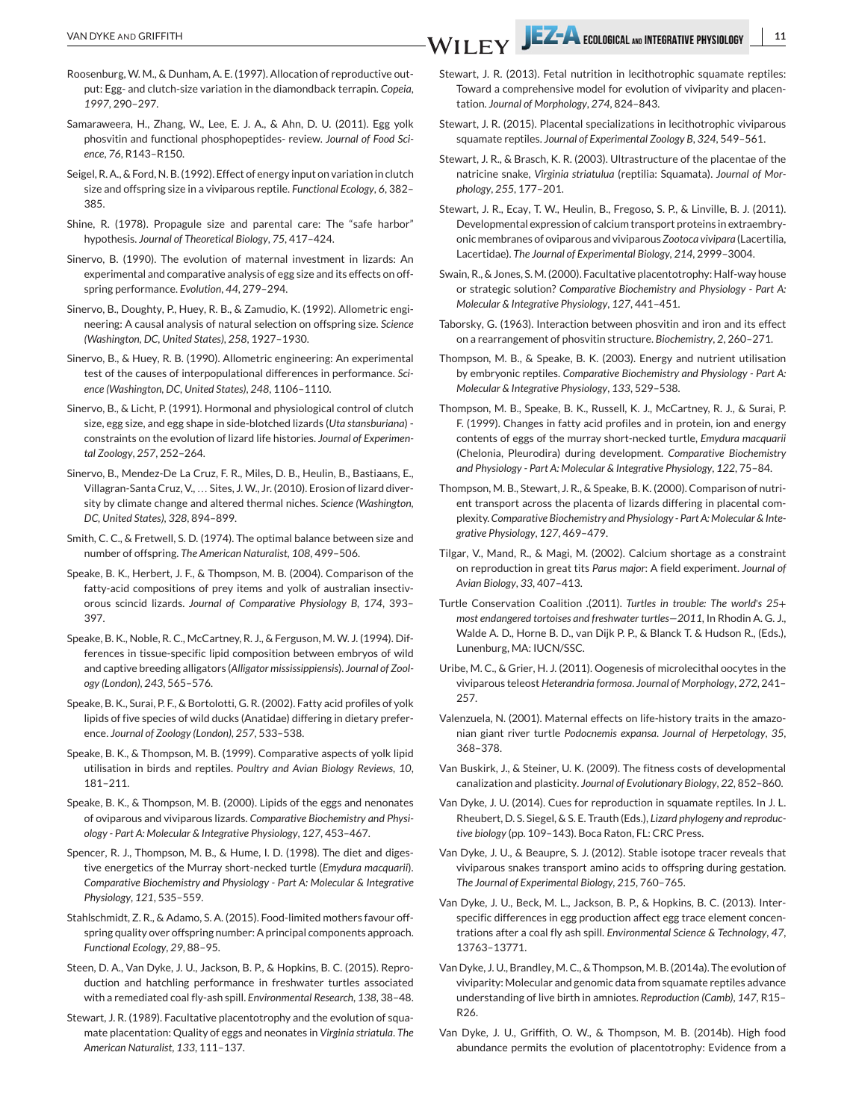- Roosenburg, W. M., & Dunham, A. E. (1997). Allocation of reproductive output: Egg- and clutch-size variation in the diamondback terrapin. *Copeia*, *1997*, 290–297.
- Samaraweera, H., Zhang, W., Lee, E. J. A., & Ahn, D. U. (2011). Egg yolk phosvitin and functional phosphopeptides- review. *Journal of Food Science*, *76*, R143–R150.
- Seigel, R. A., & Ford, N. B. (1992). Effect of energy input on variation in clutch size and offspring size in a viviparous reptile. *Functional Ecology*, *6*, 382– 385.
- Shine, R. (1978). Propagule size and parental care: The "safe harbor" hypothesis. *Journal of Theoretical Biology*, *75*, 417–424.
- Sinervo, B. (1990). The evolution of maternal investment in lizards: An experimental and comparative analysis of egg size and its effects on offspring performance. *Evolution*, *44*, 279–294.
- Sinervo, B., Doughty, P., Huey, R. B., & Zamudio, K. (1992). Allometric engineering: A causal analysis of natural selection on offspring size. *Science (Washington, DC, United States)*, *258*, 1927–1930.
- Sinervo, B., & Huey, R. B. (1990). Allometric engineering: An experimental test of the causes of interpopulational differences in performance. *Science (Washington, DC, United States)*, *248*, 1106–1110.
- Sinervo, B., & Licht, P. (1991). Hormonal and physiological control of clutch size, egg size, and egg shape in side-blotched lizards (*Uta stansburiana*) constraints on the evolution of lizard life histories. *Journal of Experimental Zoology*, *257*, 252–264.
- Sinervo, B., Mendez-De La Cruz, F. R., Miles, D. B., Heulin, B., Bastiaans, E., Villagran-Santa Cruz, V., … Sites, J.W., Jr. (2010). Erosion of lizard diversity by climate change and altered thermal niches. *Science (Washington, DC, United States)*, *328*, 894–899.
- Smith, C. C., & Fretwell, S. D. (1974). The optimal balance between size and number of offspring. *The American Naturalist*, *108*, 499–506.
- Speake, B. K., Herbert, J. F., & Thompson, M. B. (2004). Comparison of the fatty-acid compositions of prey items and yolk of australian insectivorous scincid lizards. *Journal of Comparative Physiology B*, *174*, 393– 397.
- Speake, B. K., Noble, R. C., McCartney, R. J., & Ferguson, M. W. J. (1994). Differences in tissue-specific lipid composition between embryos of wild and captive breeding alligators (*Alligator mississippiensis*). *Journal of Zoology (London)*, *243*, 565–576.
- Speake, B. K., Surai, P. F., & Bortolotti, G. R. (2002). Fatty acid profiles of yolk lipids of five species of wild ducks (Anatidae) differing in dietary preference. *Journal of Zoology (London)*, *257*, 533–538.
- Speake, B. K., & Thompson, M. B. (1999). Comparative aspects of yolk lipid utilisation in birds and reptiles. *Poultry and Avian Biology Reviews*, *10*, 181–211.
- Speake, B. K., & Thompson, M. B. (2000). Lipids of the eggs and nenonates of oviparous and viviparous lizards. *Comparative Biochemistry and Physiology - Part A: Molecular & Integrative Physiology*, *127*, 453–467.
- Spencer, R. J., Thompson, M. B., & Hume, I. D. (1998). The diet and digestive energetics of the Murray short-necked turtle (*Emydura macquarii*). *Comparative Biochemistry and Physiology - Part A: Molecular & Integrative Physiology*, *121*, 535–559.
- Stahlschmidt, Z. R., & Adamo, S. A. (2015). Food-limited mothers favour offspring quality over offspring number: A principal components approach. *Functional Ecology*, *29*, 88–95.
- Steen, D. A., Van Dyke, J. U., Jackson, B. P., & Hopkins, B. C. (2015). Reproduction and hatchling performance in freshwater turtles associated with a remediated coal fly-ash spill. *Environmental Research*, *138*, 38–48.
- Stewart, J. R. (1989). Facultative placentotrophy and the evolution of squamate placentation: Quality of eggs and neonates in *Virginia striatula*. *The American Naturalist*, *133*, 111–137.
- Stewart, J. R. (2013). Fetal nutrition in lecithotrophic squamate reptiles: Toward a comprehensive model for evolution of viviparity and placentation. *Journal of Morphology*, *274*, 824–843.
- Stewart, J. R. (2015). Placental specializations in lecithotrophic viviparous squamate reptiles. *Journal of Experimental Zoology B*, *324*, 549–561.
- Stewart, J. R., & Brasch, K. R. (2003). Ultrastructure of the placentae of the natricine snake, *Virginia striatulua* (reptilia: Squamata). *Journal of Morphology*, *255*, 177–201.
- Stewart, J. R., Ecay, T. W., Heulin, B., Fregoso, S. P., & Linville, B. J. (2011). Developmental expression of calcium transport proteins in extraembryonic membranes of oviparous and viviparous *Zootoca vivipara* (Lacertilia, Lacertidae). *The Journal of Experimental Biology*, *214*, 2999–3004.
- Swain, R., & Jones, S. M. (2000). Facultative placentotrophy: Half-way house or strategic solution? *Comparative Biochemistry and Physiology - Part A: Molecular & Integrative Physiology*, *127*, 441–451.
- Taborsky, G. (1963). Interaction between phosvitin and iron and its effect on a rearrangement of phosvitin structure. *Biochemistry*, *2*, 260–271.
- Thompson, M. B., & Speake, B. K. (2003). Energy and nutrient utilisation by embryonic reptiles. *Comparative Biochemistry and Physiology - Part A: Molecular & Integrative Physiology*, *133*, 529–538.
- Thompson, M. B., Speake, B. K., Russell, K. J., McCartney, R. J., & Surai, P. F. (1999). Changes in fatty acid profiles and in protein, ion and energy contents of eggs of the murray short-necked turtle, *Emydura macquarii* (Chelonia, Pleurodira) during development. *Comparative Biochemistry and Physiology - Part A: Molecular & Integrative Physiology*, *122*, 75–84.
- Thompson, M. B., Stewart, J. R., & Speake, B. K. (2000). Comparison of nutrient transport across the placenta of lizards differing in placental complexity. *Comparative Biochemistry and Physiology - Part A: Molecular & Integrative Physiology*, *127*, 469–479.
- Tilgar, V., Mand, R., & Magi, M. (2002). Calcium shortage as a constraint on reproduction in great tits *Parus major*: A field experiment. *Journal of Avian Biology*, *33*, 407–413.
- Turtle Conservation Coalition .(2011). *Turtles in trouble: The world*'*s 25*+ *most endangered tortoises and freshwater turtles—2011*, In Rhodin A. G. J., Walde A. D., Horne B. D., van Dijk P. P., & Blanck T. & Hudson R., (Eds.), Lunenburg, MA: IUCN/SSC.
- Uribe, M. C., & Grier, H. J. (2011). Oogenesis of microlecithal oocytes in the viviparous teleost *Heterandria formosa*. *Journal of Morphology*, *272*, 241– 257.
- Valenzuela, N. (2001). Maternal effects on life-history traits in the amazonian giant river turtle *Podocnemis expansa*. *Journal of Herpetology*, *35*, 368–378.
- Van Buskirk, J., & Steiner, U. K. (2009). The fitness costs of developmental canalization and plasticity. *Journal of Evolutionary Biology*, *22*, 852–860.
- Van Dyke, J. U. (2014). Cues for reproduction in squamate reptiles. In J. L. Rheubert, D. S. Siegel, & S. E. Trauth (Eds.), *Lizard phylogeny and reproductive biology* (pp. 109–143). Boca Raton, FL: CRC Press.
- Van Dyke, J. U., & Beaupre, S. J. (2012). Stable isotope tracer reveals that viviparous snakes transport amino acids to offspring during gestation. *The Journal of Experimental Biology*, *215*, 760–765.
- Van Dyke, J. U., Beck, M. L., Jackson, B. P., & Hopkins, B. C. (2013). Interspecific differences in egg production affect egg trace element concentrations after a coal fly ash spill. *Environmental Science & Technology*, *47*, 13763–13771.
- Van Dyke, J. U., Brandley, M. C., & Thompson, M. B. (2014a). The evolution of viviparity: Molecular and genomic data from squamate reptiles advance understanding of live birth in amniotes. *Reproduction (Camb)*, *147*, R15– R26.
- Van Dyke, J. U., Griffith, O. W., & Thompson, M. B. (2014b). High food abundance permits the evolution of placentotrophy: Evidence from a